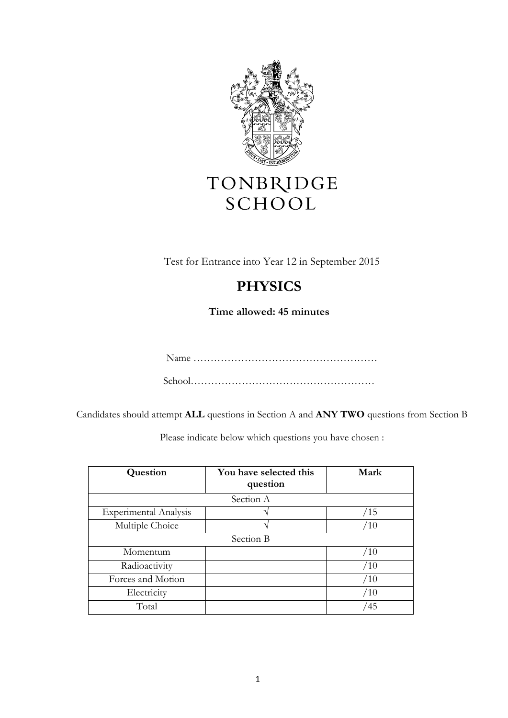

# TONBRIDGE SCHOOL

Test for Entrance into Year 12 in September 2015

# **PHYSICS**

**Time allowed: 45 minutes**

Name ………………………………………………

School………………………………………………

Candidates should attempt **ALL** questions in Section A and **ANY TWO** questions from Section B

Please indicate below which questions you have chosen :

| Question                     | You have selected this<br>question | Mark |
|------------------------------|------------------------------------|------|
|                              | Section A                          |      |
| <b>Experimental Analysis</b> |                                    | /15  |
| Multiple Choice              |                                    | /10  |
|                              | Section B                          |      |
| Momentum                     |                                    | /10  |
| Radioactivity                |                                    | /10  |
| Forces and Motion            |                                    | /10  |
| Electricity                  |                                    | /10  |
| Total                        |                                    | 45   |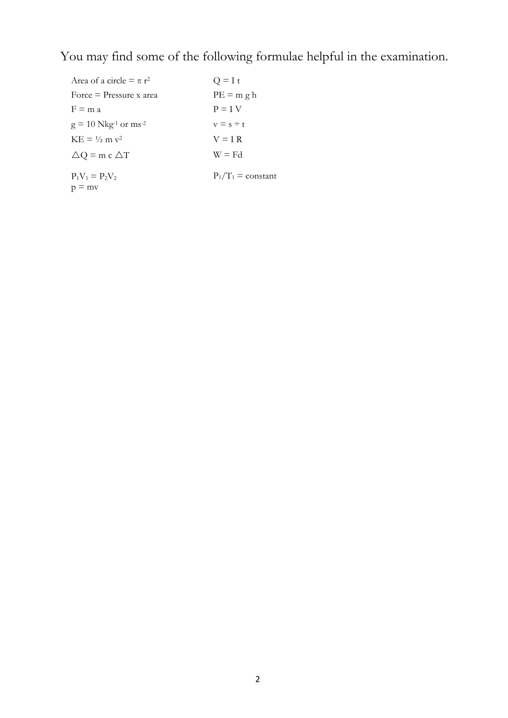You may find some of the following formulae helpful in the examination.

| Area of a circle $= \pi r^2$                   | $Q = I t$            |
|------------------------------------------------|----------------------|
| Force $=$ Pressure x area                      | $PE = m g h$         |
| $F \equiv m a$                                 | $P = I V$            |
| $g = 10$ Nkg <sup>-1</sup> or ms <sup>-2</sup> | $v = s \div t$       |
| $KE = \frac{1}{2}$ m $v^2$                     | $V = I R$            |
| $\Delta Q$ = m c $\Delta T$                    | $W = Fd$             |
| $P_1V_1 = P_2V_2$                              | $P_1/T_1 = constant$ |
| $p = mv$                                       |                      |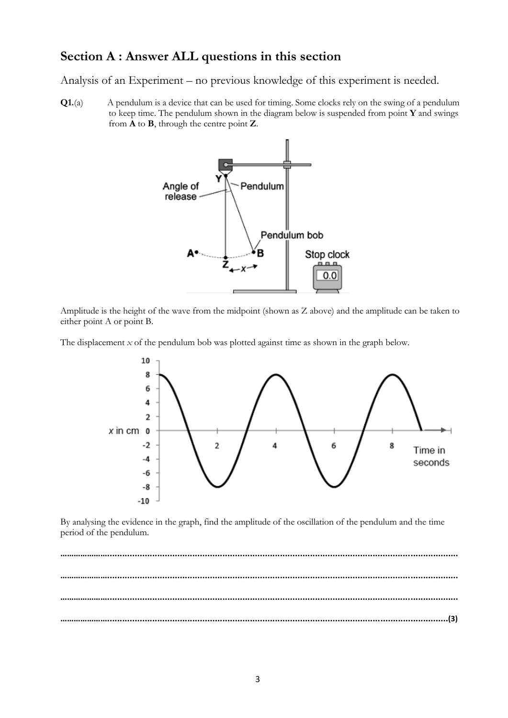## **Section A : Answer ALL questions in this section**

Analysis of an Experiment – no previous knowledge of this experiment is needed.

**Q1.**(a) A pendulum is a device that can be used for timing. Some clocks rely on the swing of a pendulum to keep time. The pendulum shown in the diagram below is suspended from point **Y** and swings from **A** to **B**, through the centre point **Z**.



Amplitude is the height of the wave from the midpoint (shown as Z above) and the amplitude can be taken to either point A or point B.

The displacement *x* of the pendulum bob was plotted against time as shown in the graph below.



By analysing the evidence in the graph, find the amplitude of the oscillation of the pendulum and the time period of the pendulum.

**…………………............................................................................................................................................ …………………............................................................................................................................................ …………………............................................................................................................................................ …………………........................................................................................................................................(3)**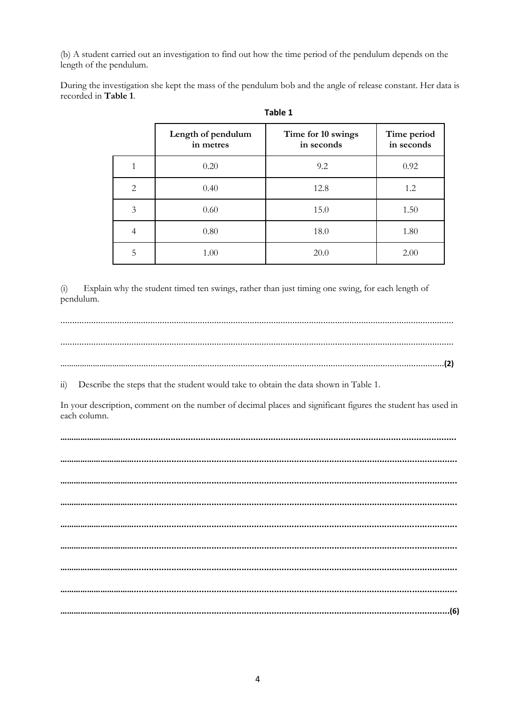(b) A student carried out an investigation to find out how the time period of the pendulum depends on the length of the pendulum.

During the investigation she kept the mass of the pendulum bob and the angle of release constant. Her data is recorded in Table 1.

|              | Table 1                         |                                  |                           |  |  |  |
|--------------|---------------------------------|----------------------------------|---------------------------|--|--|--|
|              | Length of pendulum<br>in metres | Time for 10 swings<br>in seconds | Time period<br>in seconds |  |  |  |
|              | 0.20                            | 9.2                              | 0.92                      |  |  |  |
| $\mathbf{2}$ | 0.40                            | 12.8                             | 1.2                       |  |  |  |
| 3            | 0.60                            | 15.0                             | 1.50                      |  |  |  |
| 4            | 0.80                            | 18.0                             | 1.80                      |  |  |  |
| 5            | 1.00                            | 20.0                             | 2.00                      |  |  |  |

Explain why the student timed ten swings, rather than just timing one swing, for each length of  $(i)$ pendulum.

Describe the steps that the student would take to obtain the data shown in Table 1.  $\overline{11}$ 

In your description, comment on the number of decimal places and significant figures the student has used in each column.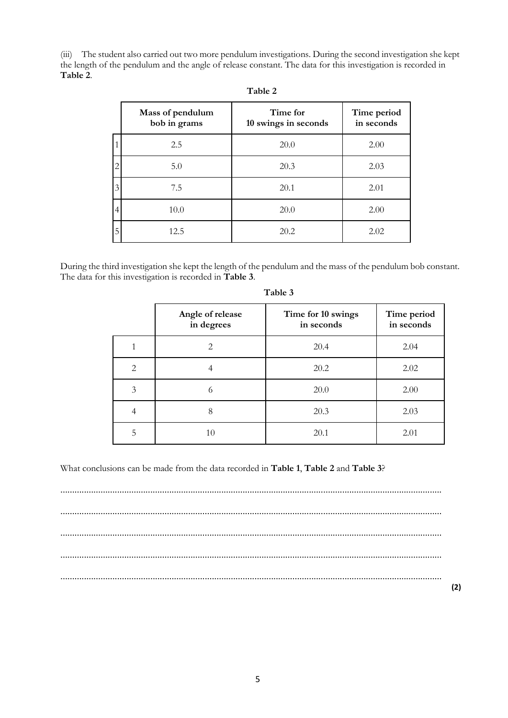(iii) The student also carried out two more pendulum investigations. During the second investigation she kept the length of the pendulum and the angle of release constant. The data for this investigation is recorded in **Table 2**.

|                | Mass of pendulum<br>bob in grams | Time for<br>10 swings in seconds | Time period<br>in seconds |
|----------------|----------------------------------|----------------------------------|---------------------------|
|                | 2.5                              | 20.0                             | 2.00                      |
| $\mathcal{D}$  | 5.0                              | 20.3                             | 2.03                      |
| 3              | 7.5                              | 20.1                             | 2.01                      |
| $\overline{4}$ | 10.0                             | 20.0                             | 2.00                      |
| 5              | 12.5                             | 20.2                             | 2.02                      |

| able |  |
|------|--|
|------|--|

During the third investigation she kept the length of the pendulum and the mass of the pendulum bob constant. The data for this investigation is recorded in **Table 3**.

|                | Angle of release<br>in degrees | Time for 10 swings<br>in seconds | Time period<br>in seconds |
|----------------|--------------------------------|----------------------------------|---------------------------|
|                | 2.                             | 20.4                             | 2.04                      |
| $\overline{2}$ |                                | 20.2                             | 2.02                      |
| 3              | O                              | 20.0                             | 2.00                      |
|                | 8                              | 20.3                             | 2.03                      |
| 5              | 10                             | 20.1                             | 2.01                      |

**Table 3**

What conclusions can be made from the data recorded in **Table 1**, **Table 2** and **Table 3**?

................................................................................................................................................................. ................................................................................................................................................................. ................................................................................................................................................................. ................................................................................................................................................................. .................................................................................................................................................................

**(2)**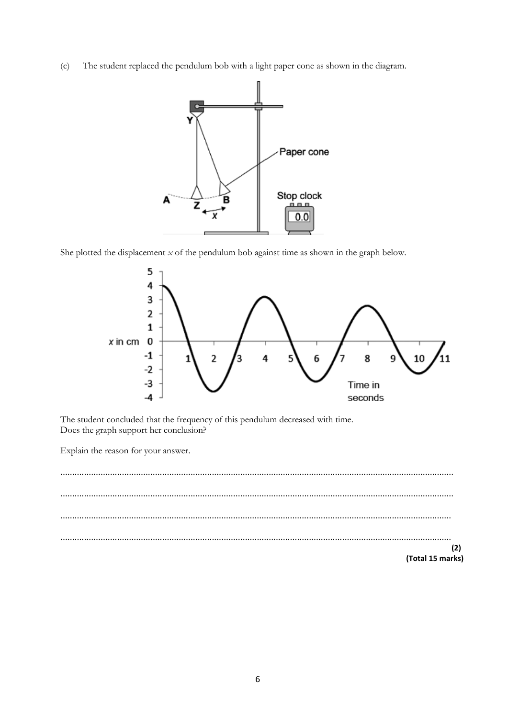The student replaced the pendulum bob with a light paper cone as shown in the diagram.  $(c)$ 



She plotted the displacement  $x$  of the pendulum bob against time as shown in the graph below.



The student concluded that the frequency of this pendulum decreased with time. Does the graph support her conclusion?

Explain the reason for your answer.

 $(2)$ (Total 15 marks)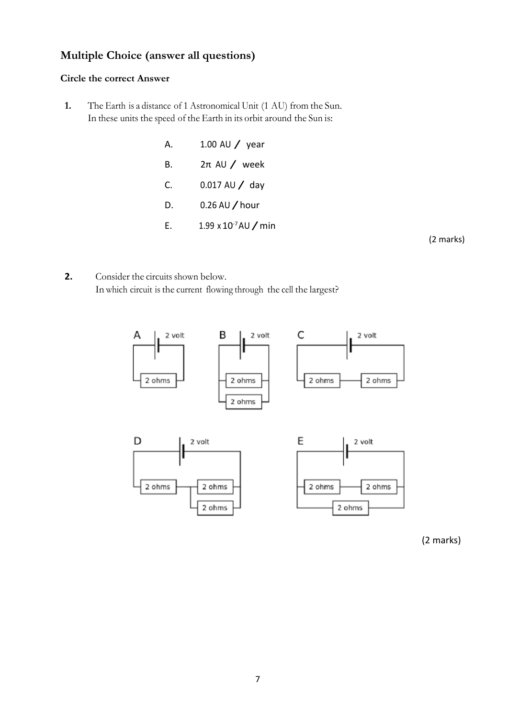## **Multiple Choice (answer all questions)**

#### **Circle the correct Answer**

**1.** The Earth is a distance of 1 Astronomical Unit (1 AU) from the Sun. In these units the speed of the Earth in its orbit around the Sun is:

| А. | 1.00 AU $/$ year                 |
|----|----------------------------------|
| В. | $2\pi$ AU / week                 |
| C. | $0.017$ AU $/$ day               |
| D. | $0.26$ AU $\prime$ hour          |
| F. | 1.99 x $10^{-7}$ AU $\prime$ min |

(2 marks)

**2.** Consider the circuits shown below. In which circuit is the current flowing through the cell the largest?



(2 marks)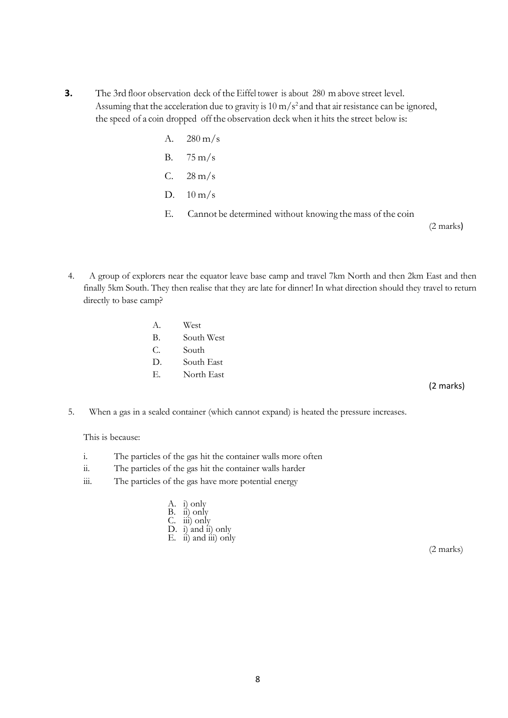- **3.** The 3rd floor observation deck of the Eiffel tower is about 280 m above street level. Assuming that the acceleration due to gravity is  $10 \text{ m/s}^2$  and that air resistance can be ignored, the speed of a coin dropped off the observation deck when it hits the street below is:
	- A.  $280 \text{ m/s}$
	- B. 75 m/s
	- $C. 28 \text{ m/s}$
	- D.  $10 \text{ m/s}$
	- E. Cannot be determined without knowing the mass of the coin

(2 marks)

- 4. A group of explorers near the equator leave base camp and travel 7km North and then 2km East and then finally 5km South. They then realise that they are late for dinner! In what direction should they travel to return directly to base camp?
	- A. West B. South West C. South D. South East E. North East

(2 marks)

5. When a gas in a sealed container (which cannot expand) is heated the pressure increases.

This is because:

- i. The particles of the gas hit the container walls more often
- ii. The particles of the gas hit the container walls harder
- iii. The particles of the gas have more potential energy
	- A. i) only B. ii) only C. iii) only D. i) and ii) only E.  $\hat{ii}$ ) and  $\hat{iii}$ ) only

(2 marks)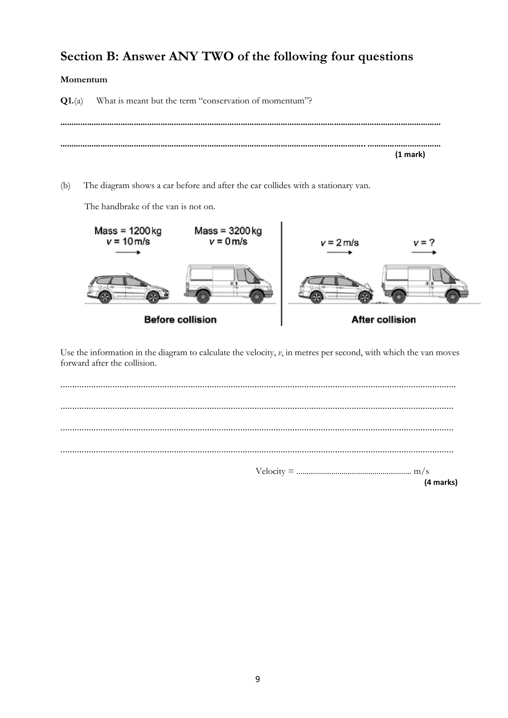# Section B: Answer ANY TWO of the following four questions

#### Momentum

What is meant but the term "conservation of momentum"?  $Q1.(a)$  $(1 mark)$ 

 $(b)$ The diagram shows a car before and after the car collides with a stationary van.

The handbrake of the van is not on.



Use the information in the diagram to calculate the velocity,  $v$ , in metres per second, with which the van moves forward after the collision.

| $Velocity = 1.1 \times 10^{-10}$ |
|----------------------------------|

(4 marks)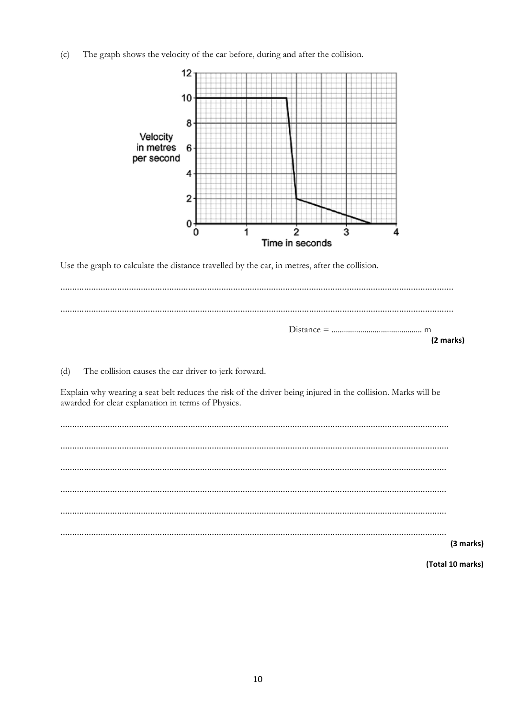The graph shows the velocity of the car before, during and after the collision.  $(c)$ 



Use the graph to calculate the distance travelled by the car, in metres, after the collision.

|  |                                                                                                                                                                                                                                                                                                                                                                                                                           |  |  |  |  | (2 marks) |
|--|---------------------------------------------------------------------------------------------------------------------------------------------------------------------------------------------------------------------------------------------------------------------------------------------------------------------------------------------------------------------------------------------------------------------------|--|--|--|--|-----------|
|  | $\mathcal{L}(\mathbf{A}) = \mathbf{A} \mathbf{B} \mathbf{B} \mathbf{B} \mathbf{B} \mathbf{B} \mathbf{B} \mathbf{B} \mathbf{B} \mathbf{B} \mathbf{B} \mathbf{B} \mathbf{B} \mathbf{B} \mathbf{B} \mathbf{B} \mathbf{B} \mathbf{B} \mathbf{B} \mathbf{B} \mathbf{B} \mathbf{B} \mathbf{B} \mathbf{B} \mathbf{B} \mathbf{B} \mathbf{B} \mathbf{B} \mathbf{B} \mathbf{B} \mathbf{B} \mathbf{B} \mathbf{B} \mathbf{B} \mathbf$ |  |  |  |  |           |

The collision causes the car driver to jerk forward.  $(d)$ 

Explain why wearing a seat belt reduces the risk of the driver being injured in the collision. Marks will be awarded for clear explanation in terms of Physics.

| (3 marks) |
|-----------|

(Total 10 marks)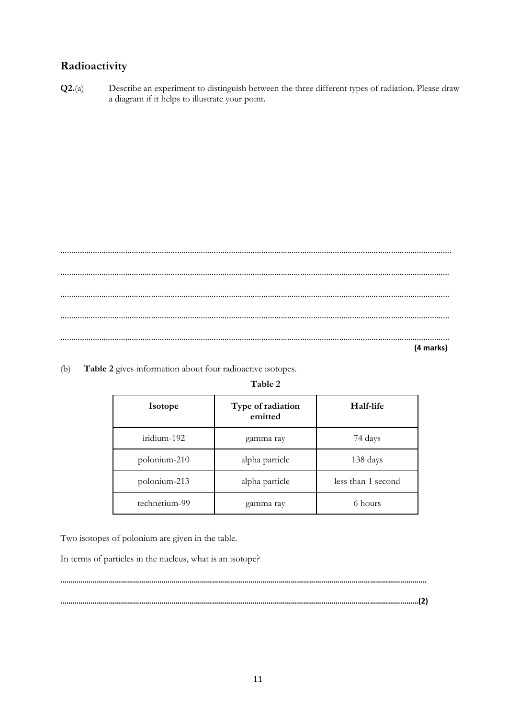## **Radioactivity**

**Q2.**(a) Describe an experiment to distinguish between the three different types of radiation. Please draw a diagram if it helps to illustrate your point.

………………………………………………………………………………………………………………………………………………………………. ……………………………………………………………………………………………………………………………………………………………… ……………………………………………………………………………………………………………………………………………………………… ……………………………………………………………………………………………………………………………………………………………… ………………………………………………………………………………………………………………………………………………………………  **(4 marks)**

(b) **Table 2** gives information about four radioactive isotopes.

#### **Table 2**

| <b>Isotope</b> | Type of radiation<br>emitted | Half-life          |
|----------------|------------------------------|--------------------|
| iridium-192    | gamma ray                    | 74 days            |
| polonium-210   | alpha particle               | 138 days           |
| polonium-213   | alpha particle               | less than 1 second |
| technetium-99  | gamma ray                    | 6 hours            |

Two isotopes of polonium are given in the table.

In terms of particles in the nucleus, what is an isotope?

**……………………………………………………………………………………………………………………………………………………………(2)**

**……………………………………………………………………………………………………………………………………………………………….**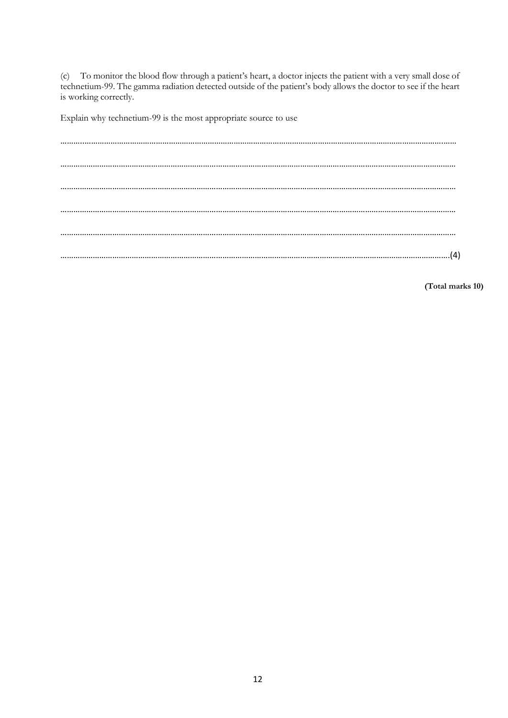(c) To monitor the blood flow through a patient's heart, a doctor injects the patient with a very small dose of technetium-99. The gamma radiation detected outside of the patient's body allows the doctor to see if the heart is working correctly.

Explain why technetium-99 is the most appropriate source to use

………..………………………………………………………………………………………………………………………………………………….…… ………………………………………………………………………………………………………………………………………………………………… ………………………………………………………………………………………………………………………………………………………………… ………………………………………………………………………………………………………………………………………………………………… ………………………………………………………………………………………………………………………………………………………………… ………………………………………………………………………………………………………………………..…………………………………….(4)

**(Total marks 10)**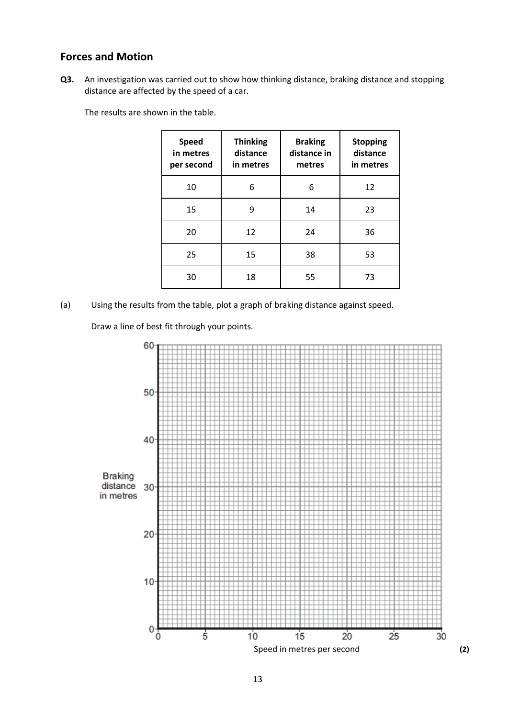### **Forces and Motion**

**Q3.** An investigation was carried out to show how thinking distance, braking distance and stopping distance are affected by the speed of a car.

The results are shown in the table.

| <b>Speed</b><br>in metres<br>per second | <b>Thinking</b><br>distance<br>in metres | <b>Braking</b><br>distance in<br>metres | <b>Stopping</b><br>distance<br>in metres |
|-----------------------------------------|------------------------------------------|-----------------------------------------|------------------------------------------|
| 10                                      | 6                                        | 6                                       | 12                                       |
| 15                                      | 9                                        | 14                                      | 23                                       |
| 20                                      | 12                                       | 24                                      | 36                                       |
| 25                                      | 15                                       | 38                                      | 53                                       |
| 30                                      | 18                                       | 55                                      | 73                                       |

(a) Using the results from the table, plot a graph of braking distance against speed.

Draw a line of best fit through your points.

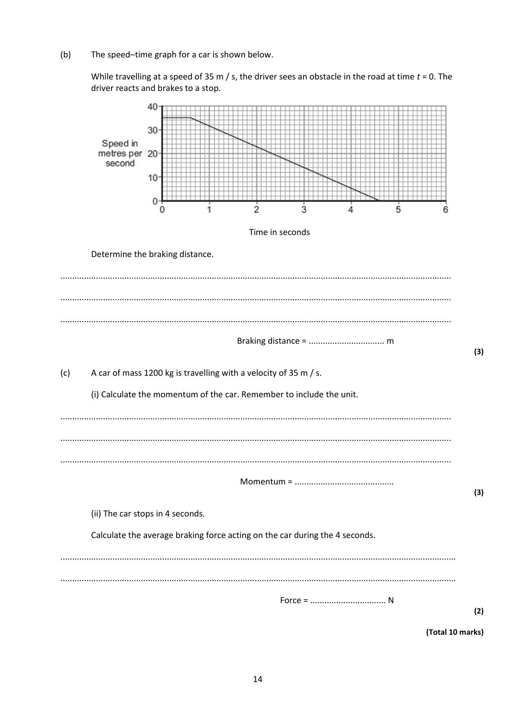$(b)$ The speed-time graph for a car is shown below.

> While travelling at a speed of 35 m / s, the driver sees an obstacle in the road at time  $t = 0$ . The driver reacts and brakes to a stop.



(Total 10 marks)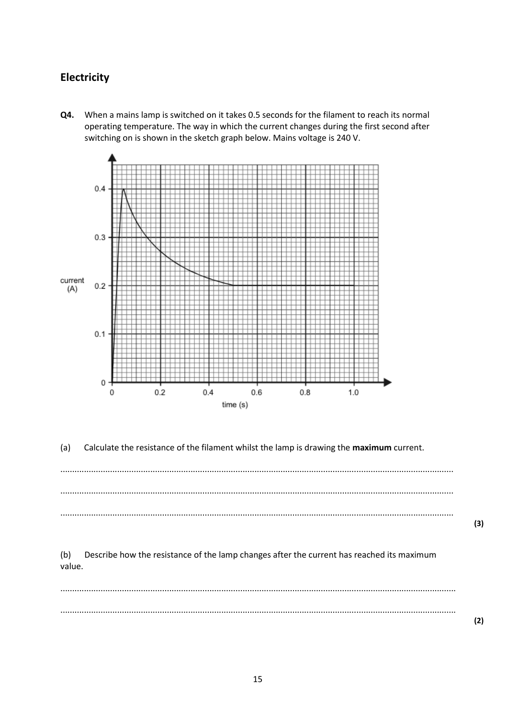## **Electricity**

**Q4.** When a mains lamp is switched on it takes 0.5 seconds for the filament to reach its normal operating temperature. The way in which the current changes during the first second after switching on is shown in the sketch graph below. Mains voltage is 240 V.



(a) Calculate the resistance of the filament whilst the lamp is drawing the **maximum** current.

...................................................................................................................................................................... ...................................................................................................................................................................... ......................................................................................................................................................................

**(3)**

**(2)**

(b) Describe how the resistance of the lamp changes after the current has reached its maximum value.

....................................................................................................................................................................... .......................................................................................................................................................................